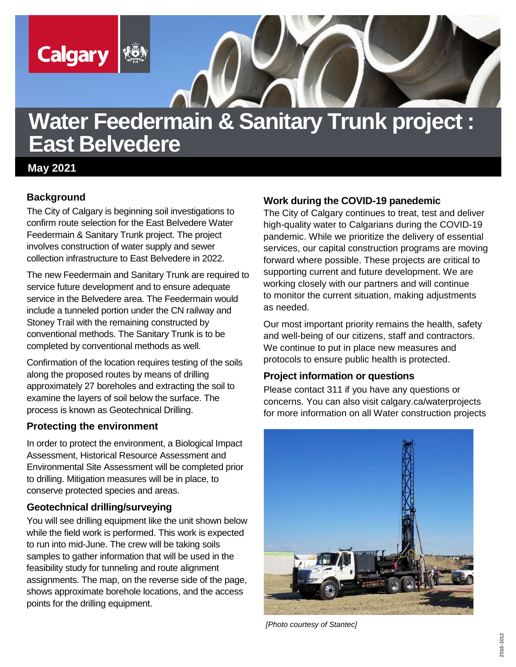

# **Water Feedermain & Sanitary Trunk project : East Belvedere**

**May 2021**

## **Background**

The City of Calgary is beginning soil investigations to confirm route selection for the East Belvedere Water Feedermain & Sanitary Trunk project. The project involves construction of water supply and sewer collection infrastructure to East Belvedere in 2022.

The new Feedermain and Sanitary Trunk are required to service future development and to ensure adequate service in the Belvedere area. The Feedermain would include a tunneled portion under the CN railway and Stoney Trail with the remaining constructed by conventional methods. The Sanitary Trunk is to be completed by conventional methods as well.

Confirmation of the location requires testing of the soils along the proposed routes by means of drilling approximately 27 boreholes and extracting the soil to examine the layers of soil below the surface. The process is known as Geotechnical Drilling.

#### **Protecting the environment**

In order to protect the environment, a Biological Impact Assessment, Historical Resource Assessment and Environmental Site Assessment will be completed prior to drilling. Mitigation measures will be in place, to conserve protected species and areas.

#### **Geotechnical drilling/surveying**

You will see drilling equipment like the unit shown below while the field work is performed. This work is expected to run into mid-June. The crew will be taking soils samples to gather information that will be used in the feasibility study for tunneling and route alignment assignments. The map, on the reverse side of the page, shows approximate borehole locations, and the access points for the drilling equipment.

## **Work during the COVID-19 panedemic**

The City of Calgary continues to treat, test and deliver high-quality water to Calgarians during the COVID-19 pandemic. While we prioritize the delivery of essential services, our capital construction programs are moving forward where possible. These projects are critical to supporting current and future development. We are working closely with our partners and will continue to monitor the current situation, making adjustments as needed.

Our most important priority remains the health, safety and well-being of our citizens, staff and contractors. We continue to put in place new measures and protocols to ensure public health is protected.

#### **Project information or questions**

Please contact 311 if you have any questions or concerns. You can also visit calgary.ca/waterprojects for more information on all Water construction projects



*[Photo courtesy of Stantec]*